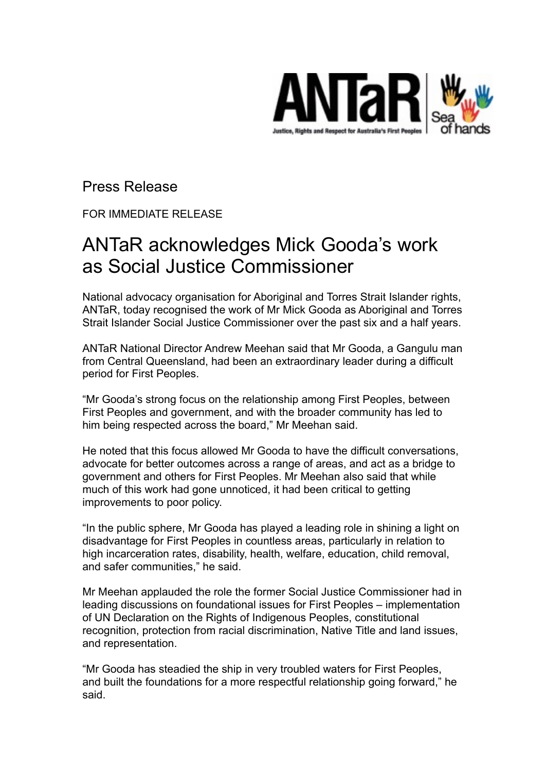

Press Release

FOR IMMEDIATE RELEASE

## ANTaR acknowledges Mick Gooda's work as Social Justice Commissioner

National advocacy organisation for Aboriginal and Torres Strait Islander rights, ANTaR, today recognised the work of Mr Mick Gooda as Aboriginal and Torres Strait Islander Social Justice Commissioner over the past six and a half years.

ANTaR National Director Andrew Meehan said that Mr Gooda, a Gangulu man from Central Queensland, had been an extraordinary leader during a difficult period for First Peoples.

"Mr Gooda's strong focus on the relationship among First Peoples, between First Peoples and government, and with the broader community has led to him being respected across the board," Mr Meehan said.

He noted that this focus allowed Mr Gooda to have the difficult conversations, advocate for better outcomes across a range of areas, and act as a bridge to government and others for First Peoples. Mr Meehan also said that while much of this work had gone unnoticed, it had been critical to getting improvements to poor policy.

"In the public sphere, Mr Gooda has played a leading role in shining a light on disadvantage for First Peoples in countless areas, particularly in relation to high incarceration rates, disability, health, welfare, education, child removal, and safer communities," he said.

Mr Meehan applauded the role the former Social Justice Commissioner had in leading discussions on foundational issues for First Peoples – implementation of UN Declaration on the Rights of Indigenous Peoples, constitutional recognition, protection from racial discrimination, Native Title and land issues, and representation.

"Mr Gooda has steadied the ship in very troubled waters for First Peoples, and built the foundations for a more respectful relationship going forward," he said.